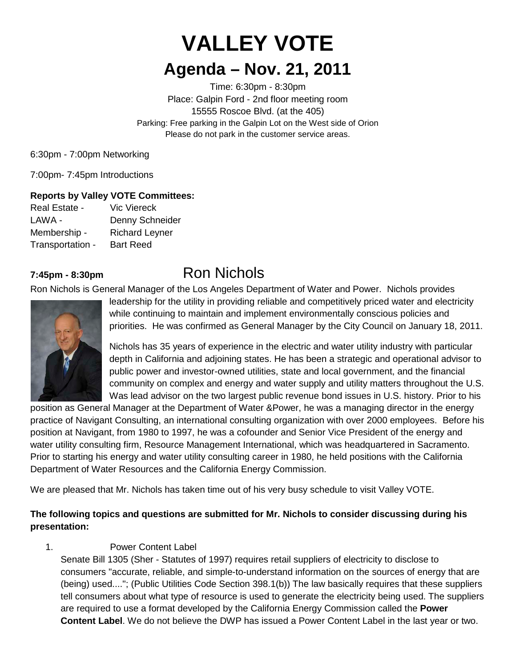# **VALLEY VOTE**

## **Agenda – Nov. 21, 2011**

Time: 6:30pm - 8:30pm Place: Galpin Ford - 2nd floor meeting room 15555 Roscoe Blvd. (at the 405) Parking: Free parking in the Galpin Lot on the West side of Orion Please do not park in the customer service areas.

6:30pm - 7:00pm Networking

7:00pm- 7:45pm Introductions

### **Reports by Valley VOTE Committees:**

| Real Estate -    | <b>Vic Viereck</b>    |
|------------------|-----------------------|
| LAWA -           | Denny Schneider       |
| Membership -     | <b>Richard Leyner</b> |
| Transportation - | <b>Bart Reed</b>      |

## **7:45pm - 8:30pm** Ron Nichols

Ron Nichols is General Manager of the Los Angeles Department of Water and Power. Nichols provides



leadership for the utility in providing reliable and competitively priced water and electricity while continuing to maintain and implement environmentally conscious policies and priorities. He was confirmed as General Manager by the City Council on January 18, 2011.

Nichols has 35 years of experience in the electric and water utility industry with particular depth in California and adjoining states. He has been a strategic and operational advisor to public power and investor-owned utilities, state and local government, and the financial community on complex and energy and water supply and utility matters throughout the U.S. Was lead advisor on the two largest public revenue bond issues in U.S. history. Prior to his

position as General Manager at the Department of Water &Power, he was a managing director in the energy practice of Navigant Consulting, an international consulting organization with over 2000 employees. Before his position at Navigant, from 1980 to 1997, he was a cofounder and Senior Vice President of the energy and water utility consulting firm, Resource Management International, which was headquartered in Sacramento. Prior to starting his energy and water utility consulting career in 1980, he held positions with the California Department of Water Resources and the California Energy Commission.

We are pleased that Mr. Nichols has taken time out of his very busy schedule to visit Valley VOTE.

## **The following topics and questions are submitted for Mr. Nichols to consider discussing during his presentation:**

### 1. Power Content Label

Senate Bill 1305 (Sher - Statutes of 1997) requires retail suppliers of electricity to disclose to consumers "accurate, reliable, and simple-to-understand information on the sources of energy that are (being) used...."; (Public Utilities Code Section 398.1(b)) The law basically requires that these suppliers tell consumers about what type of resource is used to generate the electricity being used. The suppliers are required to use a format developed by the California Energy Commission called the **Power Content Label**. We do not believe the DWP has issued a Power Content Label in the last year or two.